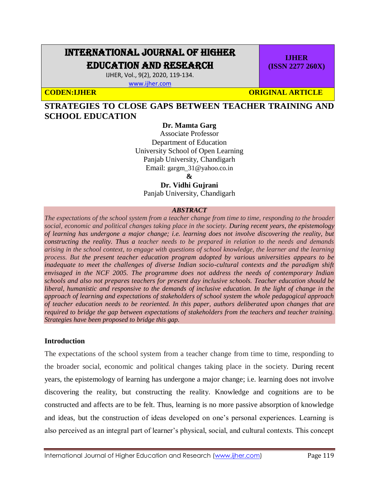# INTERNATIONAL JOURNAL OF HIGHER EDUCATION AND RESEARCH

IJHER, Vol., 9(2), 2020, 119-134. [www.ijher.com](http://www.ijher.com/)

**IJHER (ISSN 2277 260X)**

**CODEN:IJHER CODEN:** ORIGINAL ARTICLE

**STRATEGIES TO CLOSE GAPS BETWEEN TEACHER TRAINING AND SCHOOL EDUCATION**

## **Dr. Mamta Garg**

Associate Professor Department of Education University School of Open Learning Panjab University, Chandigarh Email: gargm  $31@$ yahoo.co.in

**&** 

**Dr. Vidhi Gujrani**

Panjab University, Chandigarh

#### *ABSTRACT*

*The expectations of the school system from a teacher change from time to time, responding to the broader social, economic and political changes taking place in the society. During recent years, the epistemology of learning has undergone a major change; i.e. learning does not involve discovering the reality, but constructing the reality. Thus a teacher needs to be prepared in relation to the needs and demands arising in the school context, to engage with questions of school knowledge, the learner and the learning process. But the present teacher education program adopted by various universities appears to be inadequate to meet the challenges of diverse Indian socio-cultural contexts and the paradigm shift envisaged in the NCF 2005. The programme does not address the needs of contemporary Indian schools and also not prepares teachers for present day inclusive schools. Teacher education should be liberal, humanistic and responsive to the demands of inclusive education. In the light of change in the approach of learning and expectations of stakeholders of school system the whole pedagogical approach of teacher education needs to be reoriented. In this paper, authors deliberated upon changes that are required to bridge the gap between expectations of stakeholders from the teachers and teacher training. Strategies have been proposed to bridge this gap.*

#### **Introduction**

The expectations of the school system from a teacher change from time to time, responding to the broader social, economic and political changes taking place in the society. During recent years, the epistemology of learning has undergone a major change; i.e. learning does not involve discovering the reality, but constructing the reality. Knowledge and cognitions are to be constructed and affects are to be felt. Thus, learning is no more passive absorption of knowledge and ideas, but the construction of ideas developed on one's personal experiences. Learning is also perceived as an integral part of learner's physical, social, and cultural contexts. This concept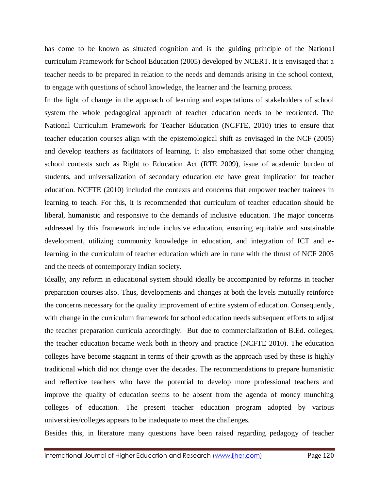has come to be known as situated cognition and is the guiding principle of the National curriculum Framework for School Education (2005) developed by NCERT. It is envisaged that a teacher needs to be prepared in relation to the needs and demands arising in the school context, to engage with questions of school knowledge, the learner and the learning process.

In the light of change in the approach of learning and expectations of stakeholders of school system the whole pedagogical approach of teacher education needs to be reoriented. The National Curriculum Framework for Teacher Education (NCFTE, 2010) tries to ensure that teacher education courses align with the epistemological shift as envisaged in the NCF (2005) and develop teachers as facilitators of learning. It also emphasized that some other changing school contexts such as Right to Education Act (RTE 2009), issue of academic burden of students, and universalization of secondary education etc have great implication for teacher education. NCFTE (2010) included the contexts and concerns that empower teacher trainees in learning to teach. For this, it is recommended that curriculum of teacher education should be liberal, humanistic and responsive to the demands of inclusive education. The major concerns addressed by this framework include inclusive education, ensuring equitable and sustainable development, utilizing community knowledge in education, and integration of ICT and elearning in the curriculum of teacher education which are in tune with the thrust of NCF 2005 and the needs of contemporary Indian society.

Ideally, any reform in educational system should ideally be accompanied by reforms in teacher preparation courses also. Thus, developments and changes at both the levels mutually reinforce the concerns necessary for the quality improvement of entire system of education. Consequently, with change in the curriculum framework for school education needs subsequent efforts to adjust the teacher preparation curricula accordingly. But due to commercialization of B.Ed. colleges, the teacher education became weak both in theory and practice (NCFTE 2010). The education colleges have become stagnant in terms of their growth as the approach used by these is highly traditional which did not change over the decades. The recommendations to prepare humanistic and reflective teachers who have the potential to develop more professional teachers and improve the quality of education seems to be absent from the agenda of money munching colleges of education. The present teacher education program adopted by various universities/colleges appears to be inadequate to meet the challenges.

Besides this, in literature many questions have been raised regarding pedagogy of teacher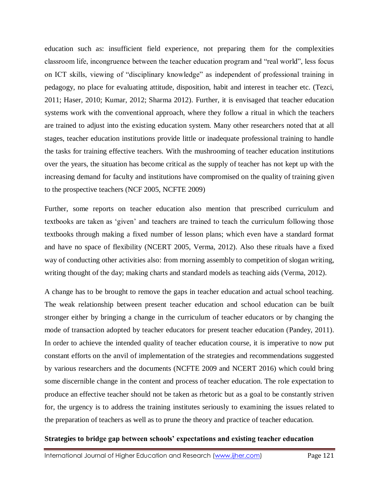education such as: insufficient field experience, not preparing them for the complexities classroom life, incongruence between the teacher education program and "real world", less focus on ICT skills, viewing of "disciplinary knowledge" as independent of professional training in pedagogy, no place for evaluating attitude, disposition, habit and interest in teacher etc. (Tezci, 2011; Haser, 2010; Kumar, 2012; Sharma 2012). Further, it is envisaged that teacher education systems work with the conventional approach, where they follow a ritual in which the teachers are trained to adjust into the existing education system. Many other researchers noted that at all stages, teacher education institutions provide little or inadequate professional training to handle the tasks for training effective teachers. With the mushrooming of teacher education institutions over the years, the situation has become critical as the supply of teacher has not kept up with the increasing demand for faculty and institutions have compromised on the quality of training given to the prospective teachers (NCF 2005, NCFTE 2009)

Further, some reports on teacher education also mention that prescribed curriculum and textbooks are taken as 'given' and teachers are trained to teach the curriculum following those textbooks through making a fixed number of lesson plans; which even have a standard format and have no space of flexibility (NCERT 2005, Verma, 2012). Also these rituals have a fixed way of conducting other activities also: from morning assembly to competition of slogan writing, writing thought of the day; making charts and standard models as teaching aids (Verma, 2012).

A change has to be brought to remove the gaps in teacher education and actual school teaching. The weak relationship between present teacher education and school education can be built stronger either by bringing a change in the curriculum of teacher educators or by changing the mode of transaction adopted by teacher educators for present teacher education (Pandey, 2011). In order to achieve the intended quality of teacher education course, it is imperative to now put constant efforts on the anvil of implementation of the strategies and recommendations suggested by various researchers and the documents (NCFTE 2009 and NCERT 2016) which could bring some discernible change in the content and process of teacher education. The role expectation to produce an effective teacher should not be taken as rhetoric but as a goal to be constantly striven for, the urgency is to address the training institutes seriously to examining the issues related to the preparation of teachers as well as to prune the theory and practice of teacher education.

## **Strategies to bridge gap between schools' expectations and existing teacher education**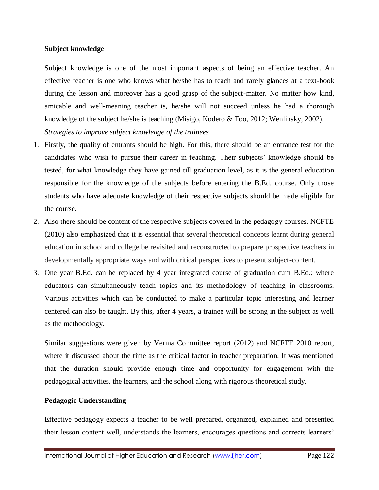#### **Subject knowledge**

Subject knowledge is one of the most important aspects of being an effective teacher. An effective teacher is one who knows what he/she has to teach and rarely glances at a text-book during the lesson and moreover has a good grasp of the subject-matter. No matter how kind, amicable and well-meaning teacher is, he/she will not succeed unless he had a thorough knowledge of the subject he/she is teaching (Misigo, Kodero & Too, 2012; Wenlinsky, 2002). *Strategies to improve subject knowledge of the trainees*

- 1. Firstly, the quality of entrants should be high. For this, there should be an entrance test for the candidates who wish to pursue their career in teaching. Their subjects' knowledge should be tested, for what knowledge they have gained till graduation level, as it is the general education responsible for the knowledge of the subjects before entering the B.Ed. course. Only those students who have adequate knowledge of their respective subjects should be made eligible for the course.
- 2. Also there should be content of the respective subjects covered in the pedagogy courses. NCFTE (2010) also emphasized that it is essential that several theoretical concepts learnt during general education in school and college be revisited and reconstructed to prepare prospective teachers in developmentally appropriate ways and with critical perspectives to present subject-content.
- 3. One year B.Ed. can be replaced by 4 year integrated course of graduation cum B.Ed.; where educators can simultaneously teach topics and its methodology of teaching in classrooms. Various activities which can be conducted to make a particular topic interesting and learner centered can also be taught. By this, after 4 years, a trainee will be strong in the subject as well as the methodology.

Similar suggestions were given by Verma Committee report (2012) and NCFTE 2010 report, where it discussed about the time as the critical factor in teacher preparation. It was mentioned that the duration should provide enough time and opportunity for engagement with the pedagogical activities, the learners, and the school along with rigorous theoretical study.

#### **Pedagogic Understanding**

Effective pedagogy expects a teacher to be well prepared, organized, explained and presented their lesson content well, understands the learners, encourages questions and corrects learners'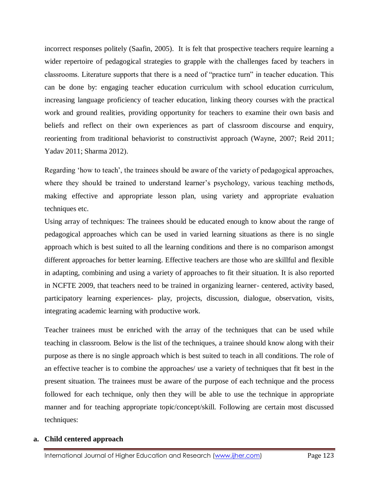incorrect responses politely (Saafin, 2005). It is felt that prospective teachers require learning a wider repertoire of pedagogical strategies to grapple with the challenges faced by teachers in classrooms. Literature supports that there is a need of "practice turn" in teacher education. This can be done by: engaging teacher education curriculum with school education curriculum, increasing language proficiency of teacher education, linking theory courses with the practical work and ground realities, providing opportunity for teachers to examine their own basis and beliefs and reflect on their own experiences as part of classroom discourse and enquiry, reorienting from traditional behaviorist to constructivist approach (Wayne, 2007; Reid 2011; Yadav 2011; Sharma 2012).

Regarding 'how to teach', the trainees should be aware of the variety of pedagogical approaches, where they should be trained to understand learner's psychology, various teaching methods, making effective and appropriate lesson plan, using variety and appropriate evaluation techniques etc.

Using array of techniques: The trainees should be educated enough to know about the range of pedagogical approaches which can be used in varied learning situations as there is no single approach which is best suited to all the learning conditions and there is no comparison amongst different approaches for better learning. Effective teachers are those who are skillful and flexible in adapting, combining and using a variety of approaches to fit their situation. It is also reported in NCFTE 2009, that teachers need to be trained in organizing learner- centered, activity based, participatory learning experiences- play, projects, discussion, dialogue, observation, visits, integrating academic learning with productive work.

Teacher trainees must be enriched with the array of the techniques that can be used while teaching in classroom. Below is the list of the techniques, a trainee should know along with their purpose as there is no single approach which is best suited to teach in all conditions. The role of an effective teacher is to combine the approaches/ use a variety of techniques that fit best in the present situation. The trainees must be aware of the purpose of each technique and the process followed for each technique, only then they will be able to use the technique in appropriate manner and for teaching appropriate topic/concept/skill. Following are certain most discussed techniques:

## **a. Child centered approach**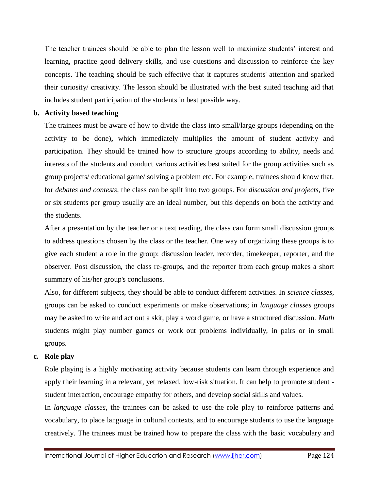The teacher trainees should be able to plan the lesson well to maximize students' interest and learning, practice good delivery skills, and use questions and discussion to reinforce the key concepts. The teaching should be such effective that it captures students' attention and sparked their curiosity/ creativity. The lesson should be illustrated with the best suited teaching aid that includes student participation of the students in best possible way.

## **b. Activity based teaching**

The trainees must be aware of how to divide the class into small/large groups (depending on the activity to be done)**,** which immediately multiplies the amount of student activity and participation. They should be trained how to structure groups according to ability, needs and interests of the students and conduct various activities best suited for the group activities such as group projects/ educational game/ solving a problem etc. For example, trainees should know that, for *debates and contests*, the class can be split into two groups. For *discussion and projects*, five or six students per group usually are an ideal number, but this depends on both the activity and the students.

After a presentation by the teacher or a text reading, the class can form small discussion groups to address questions chosen by the class or the teacher. One way of organizing these groups is to give each student a role in the group: discussion leader, recorder, timekeeper, reporter, and the observer. Post discussion, the class re-groups, and the reporter from each group makes a short summary of his/her group's conclusions.

Also, for different subjects, they should be able to conduct different activities. In *science classes*, groups can be asked to conduct experiments or make observations; in *language classes* groups may be asked to write and act out a skit, play a word game, or have a structured discussion. *Math* students might play number games or work out problems individually, in pairs or in small groups.

## **c. Role play**

Role playing is a highly motivating activity because students can learn through experience and apply their learning in a relevant, yet relaxed, low-risk situation. It can help to promote student student interaction, encourage empathy for others, and develop social skills and values.

In *language classes*, the trainees can be asked to use the role play to reinforce patterns and vocabulary, to place language in cultural contexts, and to encourage students to use the language creatively. The trainees must be trained how to prepare the class with the basic vocabulary and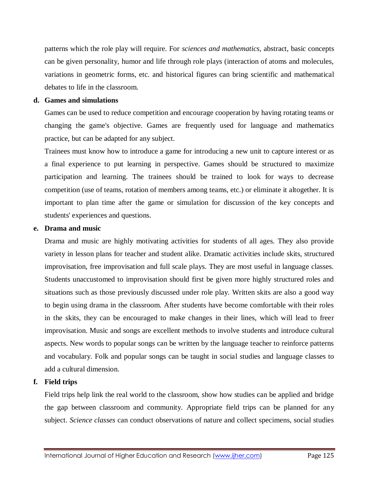patterns which the role play will require. For *sciences and mathematics*, abstract, basic concepts can be given personality, humor and life through role plays (interaction of atoms and molecules, variations in geometric forms, etc. and historical figures can bring scientific and mathematical debates to life in the classroom.

## **d. Games and simulations**

Games can be used to reduce competition and encourage cooperation by having rotating teams or changing the game's objective. Games are frequently used for language and mathematics practice, but can be adapted for any subject.

Trainees must know how to introduce a game for introducing a new unit to capture interest or as a final experience to put learning in perspective. Games should be structured to maximize participation and learning. The trainees should be trained to look for ways to decrease competition (use of teams, rotation of members among teams, etc.) or eliminate it altogether. It is important to plan time after the game or simulation for discussion of the key concepts and students' experiences and questions.

## **e. Drama and music**

Drama and music are highly motivating activities for students of all ages. They also provide variety in lesson plans for teacher and student alike. Dramatic activities include skits, structured improvisation, free improvisation and full scale plays. They are most useful in language classes. Students unaccustomed to improvisation should first be given more highly structured roles and situations such as those previously discussed under role play. Written skits are also a good way to begin using drama in the classroom. After students have become comfortable with their roles in the skits, they can be encouraged to make changes in their lines, which will lead to freer improvisation. Music and songs are excellent methods to involve students and introduce cultural aspects. New words to popular songs can be written by the language teacher to reinforce patterns and vocabulary. Folk and popular songs can be taught in social studies and language classes to add a cultural dimension.

## **f. Field trips**

Field trips help link the real world to the classroom, show how studies can be applied and bridge the gap between classroom and community. Appropriate field trips can be planned for any subject. *Science classes* can conduct observations of nature and collect specimens, social studies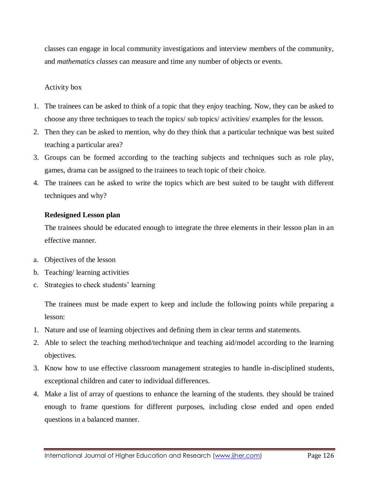classes can engage in local community investigations and interview members of the community, and *mathematics classes* can measure and time any number of objects or events.

### Activity box

- 1. The trainees can be asked to think of a topic that they enjoy teaching. Now, they can be asked to choose any three techniques to teach the topics/ sub topics/ activities/ examples for the lesson.
- 2. Then they can be asked to mention, why do they think that a particular technique was best suited teaching a particular area?
- 3. Groups can be formed according to the teaching subjects and techniques such as role play, games, drama can be assigned to the trainees to teach topic of their choice.
- 4. The trainees can be asked to write the topics which are best suited to be taught with different techniques and why?

#### **Redesigned Lesson plan**

The trainees should be educated enough to integrate the three elements in their lesson plan in an effective manner.

- a. Objectives of the lesson
- b. Teaching/ learning activities
- c. Strategies to check students' learning

The trainees must be made expert to keep and include the following points while preparing a lesson:

- 1. Nature and use of learning objectives and defining them in clear terms and statements.
- 2. Able to select the teaching method/technique and teaching aid/model according to the learning objectives.
- 3. Know how to use effective classroom management strategies to handle in-disciplined students, exceptional children and cater to individual differences.
- 4. Make a list of array of questions to enhance the learning of the students. they should be trained enough to frame questions for different purposes, including close ended and open ended questions in a balanced manner.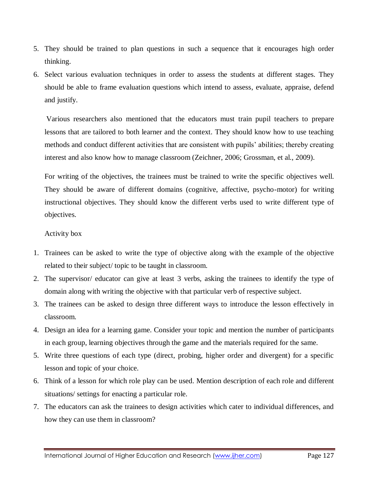- 5. They should be trained to plan questions in such a sequence that it encourages high order thinking.
- 6. Select various evaluation techniques in order to assess the students at different stages. They should be able to frame evaluation questions which intend to assess, evaluate, appraise, defend and justify.

Various researchers also mentioned that the educators must train pupil teachers to prepare lessons that are tailored to both learner and the context. They should know how to use teaching methods and conduct different activities that are consistent with pupils' abilities; thereby creating interest and also know how to manage classroom (Zeichner, 2006; Grossman, et al., 2009).

For writing of the objectives, the trainees must be trained to write the specific objectives well. They should be aware of different domains (cognitive, affective, psycho-motor) for writing instructional objectives. They should know the different verbs used to write different type of objectives.

## Activity box

- 1. Trainees can be asked to write the type of objective along with the example of the objective related to their subject/ topic to be taught in classroom.
- 2. The supervisor/ educator can give at least 3 verbs, asking the trainees to identify the type of domain along with writing the objective with that particular verb of respective subject.
- 3. The trainees can be asked to design three different ways to introduce the lesson effectively in classroom.
- 4. Design an idea for a learning game. Consider your topic and mention the number of participants in each group, learning objectives through the game and the materials required for the same.
- 5. Write three questions of each type (direct, probing, higher order and divergent) for a specific lesson and topic of your choice.
- 6. Think of a lesson for which role play can be used. Mention description of each role and different situations/ settings for enacting a particular role.
- 7. The educators can ask the trainees to design activities which cater to individual differences, and how they can use them in classroom?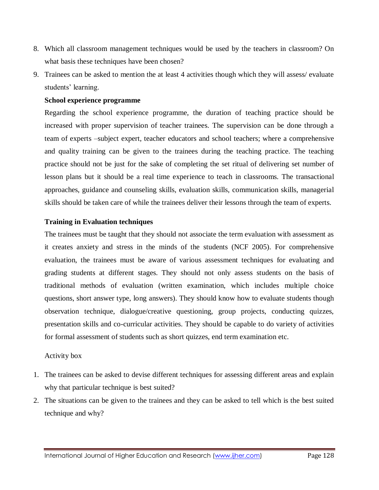- 8. Which all classroom management techniques would be used by the teachers in classroom? On what basis these techniques have been chosen?
- 9. Trainees can be asked to mention the at least 4 activities though which they will assess/ evaluate students' learning.

### **School experience programme**

Regarding the school experience programme, the duration of teaching practice should be increased with proper supervision of teacher trainees. The supervision can be done through a team of experts –subject expert, teacher educators and school teachers; where a comprehensive and quality training can be given to the trainees during the teaching practice. The teaching practice should not be just for the sake of completing the set ritual of delivering set number of lesson plans but it should be a real time experience to teach in classrooms. The transactional approaches, guidance and counseling skills, evaluation skills, communication skills, managerial skills should be taken care of while the trainees deliver their lessons through the team of experts.

## **Training in Evaluation techniques**

The trainees must be taught that they should not associate the term evaluation with assessment as it creates anxiety and stress in the minds of the students (NCF 2005). For comprehensive evaluation, the trainees must be aware of various assessment techniques for evaluating and grading students at different stages. They should not only assess students on the basis of traditional methods of evaluation (written examination, which includes multiple choice questions, short answer type, long answers). They should know how to evaluate students though observation technique, dialogue/creative questioning, group projects, conducting quizzes, presentation skills and co-curricular activities. They should be capable to do variety of activities for formal assessment of students such as short quizzes, end term examination etc.

## Activity box

- 1. The trainees can be asked to devise different techniques for assessing different areas and explain why that particular technique is best suited?
- 2. The situations can be given to the trainees and they can be asked to tell which is the best suited technique and why?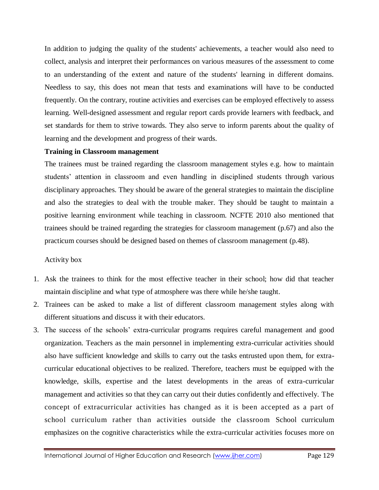In addition to judging the quality of the students' achievements, a teacher would also need to collect, analysis and interpret their performances on various measures of the assessment to come to an understanding of the extent and nature of the students' learning in different domains. Needless to say, this does not mean that tests and examinations will have to be conducted frequently. On the contrary, routine activities and exercises can be employed effectively to assess learning. Well-designed assessment and regular report cards provide learners with feedback, and set standards for them to strive towards. They also serve to inform parents about the quality of learning and the development and progress of their wards.

#### **Training in Classroom management**

The trainees must be trained regarding the classroom management styles e.g. how to maintain students' attention in classroom and even handling in disciplined students through various disciplinary approaches. They should be aware of the general strategies to maintain the discipline and also the strategies to deal with the trouble maker. They should be taught to maintain a positive learning environment while teaching in classroom. NCFTE 2010 also mentioned that trainees should be trained regarding the strategies for classroom management (p.67) and also the practicum courses should be designed based on themes of classroom management (p.48).

#### Activity box

- 1. Ask the trainees to think for the most effective teacher in their school; how did that teacher maintain discipline and what type of atmosphere was there while he/she taught.
- 2. Trainees can be asked to make a list of different classroom management styles along with different situations and discuss it with their educators.
- 3. The success of the schools' extra-curricular programs requires careful management and good organization. Teachers as the main personnel in implementing extra-curricular activities should also have sufficient knowledge and skills to carry out the tasks entrusted upon them, for extracurricular educational objectives to be realized. Therefore, teachers must be equipped with the knowledge, skills, expertise and the latest developments in the areas of extra-curricular management and activities so that they can carry out their duties confidently and effectively. The concept of extracurricular activities has changed as it is been accepted as a part of school curriculum rather than activities outside the classroom School curriculum emphasizes on the cognitive characteristics while the extra-curricular activities focuses more on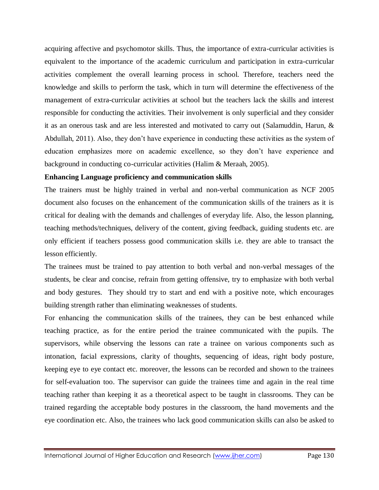acquiring affective and psychomotor skills. Thus, the importance of extra-curricular activities is equivalent to the importance of the academic curriculum and participation in extra-curricular activities complement the overall learning process in school. Therefore, teachers need the knowledge and skills to perform the task, which in turn will determine the effectiveness of the management of extra-curricular activities at school but the teachers lack the skills and interest responsible for conducting the activities. Their involvement is only superficial and they consider it as an onerous task and are less interested and motivated to carry out (Salamuddin, Harun, & Abdullah, 2011). Also, they don't have experience in conducting these activities as the system of education emphasizes more on academic excellence, so they don't have experience and background in conducting co-curricular activities (Halim & Meraah, 2005).

## **Enhancing Language proficiency and communication skills**

The trainers must be highly trained in verbal and non-verbal communication as NCF 2005 document also focuses on the enhancement of the communication skills of the trainers as it is critical for dealing with the demands and challenges of everyday life. Also, the lesson planning, teaching methods/techniques, delivery of the content, giving feedback, guiding students etc. are only efficient if teachers possess good communication skills i.e. they are able to transact the lesson efficiently.

The trainees must be trained to pay attention to both verbal and non-verbal messages of the students, be clear and concise, refrain from getting offensive, try to emphasize with both verbal and body gestures. They should try to start and end with a positive note, which encourages building strength rather than eliminating weaknesses of students.

For enhancing the communication skills of the trainees, they can be best enhanced while teaching practice, as for the entire period the trainee communicated with the pupils. The supervisors, while observing the lessons can rate a trainee on various components such as intonation, facial expressions, clarity of thoughts, sequencing of ideas, right body posture, keeping eye to eye contact etc. moreover, the lessons can be recorded and shown to the trainees for self-evaluation too. The supervisor can guide the trainees time and again in the real time teaching rather than keeping it as a theoretical aspect to be taught in classrooms. They can be trained regarding the acceptable body postures in the classroom, the hand movements and the eye coordination etc. Also, the trainees who lack good communication skills can also be asked to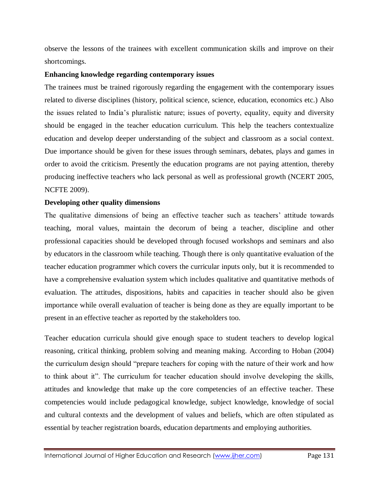observe the lessons of the trainees with excellent communication skills and improve on their shortcomings.

## **Enhancing knowledge regarding contemporary issues**

The trainees must be trained rigorously regarding the engagement with the contemporary issues related to diverse disciplines (history, political science, science, education, economics etc.) Also the issues related to India's pluralistic nature; issues of poverty, equality, equity and diversity should be engaged in the teacher education curriculum. This help the teachers contextualize education and develop deeper understanding of the subject and classroom as a social context. Due importance should be given for these issues through seminars, debates, plays and games in order to avoid the criticism. Presently the education programs are not paying attention, thereby producing ineffective teachers who lack personal as well as professional growth (NCERT 2005, NCFTE 2009).

## **Developing other quality dimensions**

The qualitative dimensions of being an effective teacher such as teachers' attitude towards teaching, moral values, maintain the decorum of being a teacher, discipline and other professional capacities should be developed through focused workshops and seminars and also by educators in the classroom while teaching. Though there is only quantitative evaluation of the teacher education programmer which covers the curricular inputs only, but it is recommended to have a comprehensive evaluation system which includes qualitative and quantitative methods of evaluation. The attitudes, dispositions, habits and capacities in teacher should also be given importance while overall evaluation of teacher is being done as they are equally important to be present in an effective teacher as reported by the stakeholders too.

Teacher education curricula should give enough space to student teachers to develop logical reasoning, critical thinking, problem solving and meaning making. According to Hoban (2004) the curriculum design should "prepare teachers for coping with the nature of their work and how to think about it". The curriculum for teacher education should involve developing the skills, attitudes and knowledge that make up the core competencies of an effective teacher. These competencies would include pedagogical knowledge, subject knowledge, knowledge of social and cultural contexts and the development of values and beliefs, which are often stipulated as essential by teacher registration boards, education departments and employing authorities.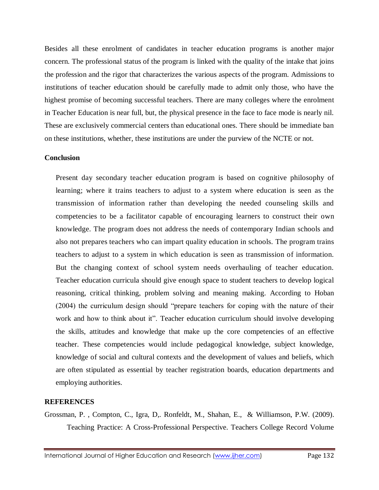Besides all these enrolment of candidates in teacher education programs is another major concern. The professional status of the program is linked with the quality of the intake that joins the profession and the rigor that characterizes the various aspects of the program. Admissions to institutions of teacher education should be carefully made to admit only those, who have the highest promise of becoming successful teachers. There are many colleges where the enrolment in Teacher Education is near full, but, the physical presence in the face to face mode is nearly nil. These are exclusively commercial centers than educational ones. There should be immediate ban on these institutions, whether, these institutions are under the purview of the NCTE or not.

## **Conclusion**

Present day secondary teacher education program is based on cognitive philosophy of learning; where it trains teachers to adjust to a system where education is seen as the transmission of information rather than developing the needed counseling skills and competencies to be a facilitator capable of encouraging learners to construct their own knowledge. The program does not address the needs of contemporary Indian schools and also not prepares teachers who can impart quality education in schools. The program trains teachers to adjust to a system in which education is seen as transmission of information. But the changing context of school system needs overhauling of teacher education. Teacher education curricula should give enough space to student teachers to develop logical reasoning, critical thinking, problem solving and meaning making. According to Hoban (2004) the curriculum design should "prepare teachers for coping with the nature of their work and how to think about it". Teacher education curriculum should involve developing the skills, attitudes and knowledge that make up the core competencies of an effective teacher. These competencies would include pedagogical knowledge, subject knowledge, knowledge of social and cultural contexts and the development of values and beliefs, which are often stipulated as essential by teacher registration boards, education departments and employing authorities.

## **REFERENCES**

Grossman, P. , Compton, C., Igra, D,. Ronfeldt, M., Shahan, E., & Williamson, P.W. (2009). Teaching Practice: A Cross-Professional Perspective. Teachers College Record Volume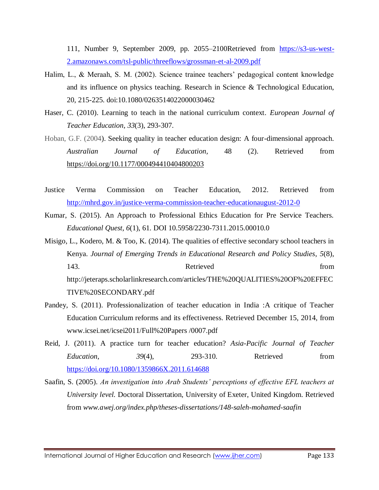111, Number 9, September 2009, pp. 2055–2100Retrieved from [https://s3-us-west-](https://s3-us-west-2.amazonaws.com/tsl-public/threeflows/grossman-et-al-2009.pdf)[2.amazonaws.com/tsl-public/threeflows/grossman-et-al-2009.pdf](https://s3-us-west-2.amazonaws.com/tsl-public/threeflows/grossman-et-al-2009.pdf)

- Halim, L., & Meraah, S. M. (2002). Science trainee teachers' pedagogical content knowledge and its influence on physics teaching. Research in Science & Technological Education, 20, 215-225. doi:10.1080/0263514022000030462
- Haser, C. (2010). Learning to teach in the national curriculum context. *European Journal of Teacher Education*, *33*(3), 293-307.
- Hoban, G.F. (2004). Seeking quality in teacher education design: A four-dimensional approach. *Australian Journal of Education,* 48 (2). Retrieved from [https://doi.org/10.1177/000494410404800203](https://doi.org/10.1177%2F000494410404800203)
- Justice Verma Commission on Teacher Education, 2012. Retrieved from <http://mhrd.gov.in/justice-verma-commission-teacher-educationaugust-2012-0>
- Kumar, S. (2015). An Approach to Professional Ethics Education for Pre Service Teachers. *Educational Quest*, *6*(1), 61. DOI 10.5958/2230-7311.2015.00010.0

Misigo, L., Kodero, M. & Too, K. (2014). The qualities of effective secondary school teachers in Kenya. *Journal of Emerging Trends in Educational Research and Policy Studies*, *5*(8), 143. **Retrieved** from http://jeteraps.scholarlinkresearch.com/articles/THE%20QUALITIES%20OF%20EFFEC TIVE%20SECONDARY.pdf

- Pandey, S. (2011). Professionalization of teacher education in India :A critique of Teacher Education Curriculum reforms and its effectiveness. Retrieved December 15, 2014, from www.icsei.net/icsei2011/Full%20Papers /0007.pdf
- Reid, J. (2011). A practice turn for teacher education? *Asia-Pacific Journal of Teacher Education*, *39*(4), 293-310. Retrieved from <https://doi.org/10.1080/1359866X.2011.614688>
- Saafin, S. (2005). *An investigation into Arab Students' perceptions of effective EFL teachers at University level.* Doctoral Dissertation, University of Exeter, United Kingdom. Retrieved from *www.awej.org/index.php/theses-dissertations/148-saleh-mohamed-saafin*